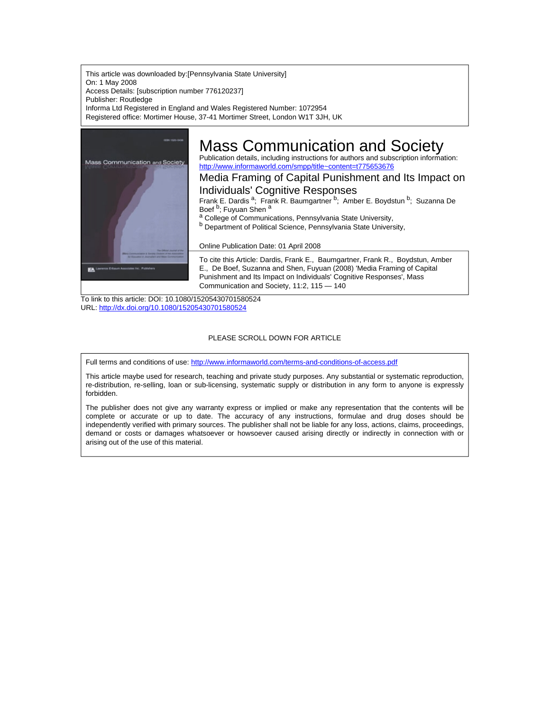This article was downloaded by:[Pennsylvania State University] On: 1 May 2008 Access Details: [subscription number 776120237] Publisher: Routledge Informa Ltd Registered in England and Wales Registered Number: 1072954 Registered office: Mortimer House, 37-41 Mortimer Street, London W1T 3JH, UK



# Mass Communication and Society

Publication details, including instructions for authors and subscription information: <http://www.informaworld.com/smpp/title~content=t775653676>

# Media Framing of Capital Punishment and Its Impact on Individuals' Cognitive Responses

Frank E. Dardis<sup>a</sup>; Frank R. Baumgartner <sup>b</sup>; Amber E. Boydstun <sup>b</sup>; Suzanna De Boef <sup>b</sup>; Fuyuan Shen <sup>a</sup>

a College of Communications, Pennsylvania State University,

<sup>b</sup> Department of Political Science, Pennsylvania State University,

#### Online Publication Date: 01 April 2008

To cite this Article: Dardis, Frank E., Baumgartner, Frank R., Boydstun, Amber E., De Boef, Suzanna and Shen, Fuyuan (2008) 'Media Framing of Capital Punishment and Its Impact on Individuals' Cognitive Responses', Mass Communication and Society, 11:2, 115 — 140

To link to this article: DOI: 10.1080/15205430701580524 URL: <http://dx.doi.org/10.1080/15205430701580524>

### PLEASE SCROLL DOWN FOR ARTICLE

Full terms and conditions of use: <http://www.informaworld.com/terms-and-conditions-of-access.pdf>

This article maybe used for research, teaching and private study purposes. Any substantial or systematic reproduction, re-distribution, re-selling, loan or sub-licensing, systematic supply or distribution in any form to anyone is expressly forbidden.

The publisher does not give any warranty express or implied or make any representation that the contents will be complete or accurate or up to date. The accuracy of any instructions, formulae and drug doses should be independently verified with primary sources. The publisher shall not be liable for any loss, actions, claims, proceedings, demand or costs or damages whatsoever or howsoever caused arising directly or indirectly in connection with or arising out of the use of this material.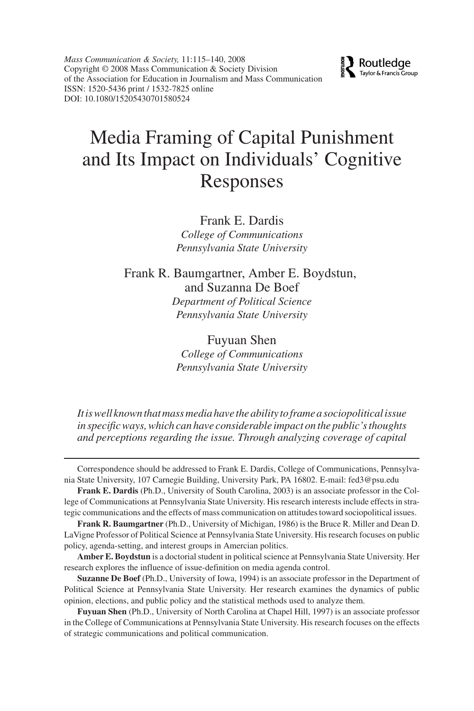*Mass Communication & Society,* 11:115–140, 2008 Copyright © 2008 Mass Communication & Society Division of the Association for Education in Journalism and Mass Communication ISSN: 1520-5436 print / 1532-7825 online DOI: 10.1080/15205430701580524



# Media Framing of Capital Punishment and Its Impact on Individuals' Cognitive Responses

Frank E. Dardis *College of Communications Pennsylvania State University*

Frank R. Baumgartner, Amber E. Boydstun, and Suzanna De Boef *Department of Political Science Pennsylvania State University*

> Fuyuan Shen *College of Communications Pennsylvania State University*

*Itiswellknownthatmassmediahavetheabilitytoframeasociopoliticalissue in specific ways, which can have considerable impact on the public's thoughts and perceptions regarding the issue. Through analyzing coverage of capital*

Correspondence should be addressed to Frank E. Dardis, College of Communications, Pennsylvania State University, 107 Carnegie Building, University Park, PA 16802. E-mail: fed3@psu.edu

**Frank E. Dardis** (Ph.D., University of South Carolina, 2003) is an associate professor in the College of Communications at Pennsylvania State University. His research interests include effects in strategic communications and the effects of mass communication on attitudes toward sociopolitical issues.

**Frank R. Baumgartner** (Ph.D., University of Michigan, 1986) is the Bruce R. Miller and Dean D. LaVigne Professor of Political Science at Pennsylvania State University. His research focuses on public policy, agenda-setting, and interest groups in Amercian politics.

**Amber E. Boydstun** is a doctorial student in political science at Pennsylvania State University. Her research explores the influence of issue-definition on media agenda control.

**Suzanne De Boef** (Ph.D., University of Iowa, 1994) is an associate professor in the Department of Political Science at Pennsylvania State University. Her research examines the dynamics of public opinion, elections, and public policy and the statistical methods used to analyze them.

**Fuyuan Shen** (Ph.D., University of North Carolina at Chapel Hill, 1997) is an associate professor in the College of Communications at Pennsylvania State University. His research focuses on the effects of strategic communications and political communication.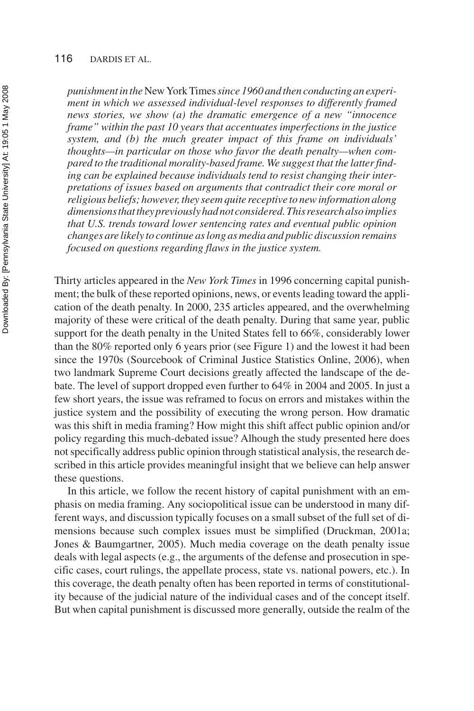*punishment in the*New York Times*since 1960 and then conducting an experiment in which we assessed individual-level responses to differently framed news stories, we show (a) the dramatic emergence of a new "innocence frame" within the past 10 years that accentuates imperfections in the justice system, and (b) the much greater impact of this frame on individuals' thoughts—in particular on those who favor the death penalty—when compared to the traditional morality-based frame. We suggest that the latter finding can be explained because individuals tend to resist changing their interpretations of issues based on arguments that contradict their core moral or religious beliefs; however, they seem quite receptive to new information along dimensionsthattheypreviouslyhadnotconsidered.Thisresearchalsoimplies that U.S. trends toward lower sentencing rates and eventual public opinion changes are likely to continue as long as media and public discussion remains focused on questions regarding flaws in the justice system.*

Thirty articles appeared in the *New York Times* in 1996 concerning capital punishment; the bulk of these reported opinions, news, or events leading toward the application of the death penalty. In 2000, 235 articles appeared, and the overwhelming majority of these were critical of the death penalty. During that same year, public support for the death penalty in the United States fell to 66%, considerably lower than the 80% reported only 6 years prior (see Figure 1) and the lowest it had been since the 1970s (Sourcebook of Criminal Justice Statistics Online, 2006), when two landmark Supreme Court decisions greatly affected the landscape of the debate. The level of support dropped even further to 64% in 2004 and 2005. In just a few short years, the issue was reframed to focus on errors and mistakes within the justice system and the possibility of executing the wrong person. How dramatic was this shift in media framing? How might this shift affect public opinion and/or policy regarding this much-debated issue? Alhough the study presented here does not specifically address public opinion through statistical analysis, the research described in this article provides meaningful insight that we believe can help answer these questions.

In this article, we follow the recent history of capital punishment with an emphasis on media framing. Any sociopolitical issue can be understood in many different ways, and discussion typically focuses on a small subset of the full set of dimensions because such complex issues must be simplified (Druckman, 2001a; Jones & Baumgartner, 2005). Much media coverage on the death penalty issue deals with legal aspects (e.g., the arguments of the defense and prosecution in specific cases, court rulings, the appellate process, state vs. national powers, etc.). In this coverage, the death penalty often has been reported in terms of constitutionality because of the judicial nature of the individual cases and of the concept itself. But when capital punishment is discussed more generally, outside the realm of the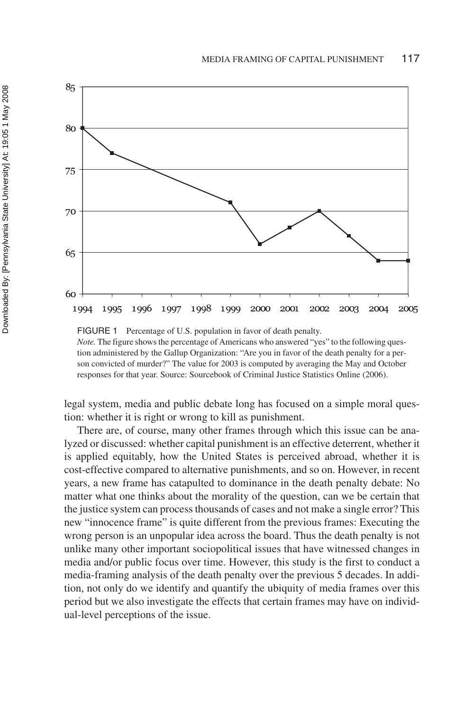

FIGURE 1 Percentage of U.S. population in favor of death penalty. *Note*. The figure shows the percentage of Americans who answered "yes" to the following question administered by the Gallup Organization: "Are you in favor of the death penalty for a person convicted of murder?" The value for 2003 is computed by averaging the May and October responses for that year. Source: Sourcebook of Criminal Justice Statistics Online (2006).

legal system, media and public debate long has focused on a simple moral question: whether it is right or wrong to kill as punishment.

There are, of course, many other frames through which this issue can be analyzed or discussed: whether capital punishment is an effective deterrent, whether it is applied equitably, how the United States is perceived abroad, whether it is cost-effective compared to alternative punishments, and so on. However, in recent years, a new frame has catapulted to dominance in the death penalty debate: No matter what one thinks about the morality of the question, can we be certain that the justice system can process thousands of cases and not make a single error? This new "innocence frame" is quite different from the previous frames: Executing the wrong person is an unpopular idea across the board. Thus the death penalty is not unlike many other important sociopolitical issues that have witnessed changes in media and/or public focus over time. However, this study is the first to conduct a media-framing analysis of the death penalty over the previous 5 decades. In addition, not only do we identify and quantify the ubiquity of media frames over this period but we also investigate the effects that certain frames may have on individual-level perceptions of the issue.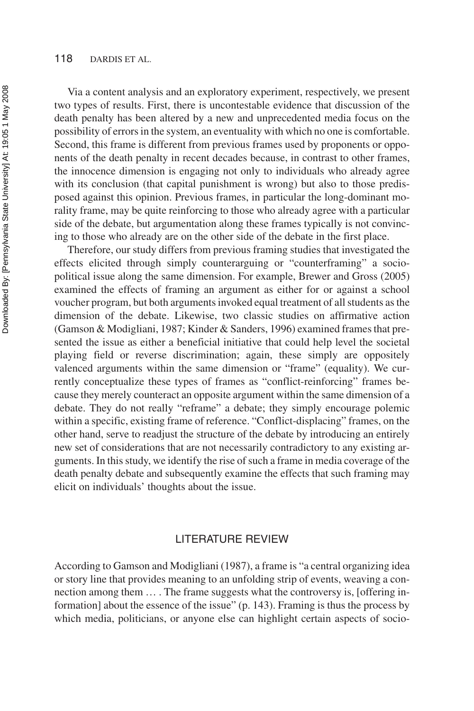Via a content analysis and an exploratory experiment, respectively, we present two types of results. First, there is uncontestable evidence that discussion of the death penalty has been altered by a new and unprecedented media focus on the possibility of errors in the system, an eventuality with which no one is comfortable. Second, this frame is different from previous frames used by proponents or opponents of the death penalty in recent decades because, in contrast to other frames, the innocence dimension is engaging not only to individuals who already agree with its conclusion (that capital punishment is wrong) but also to those predisposed against this opinion. Previous frames, in particular the long-dominant morality frame, may be quite reinforcing to those who already agree with a particular side of the debate, but argumentation along these frames typically is not convincing to those who already are on the other side of the debate in the first place.

Therefore, our study differs from previous framing studies that investigated the effects elicited through simply counterarguing or "counterframing" a sociopolitical issue along the same dimension. For example, Brewer and Gross (2005) examined the effects of framing an argument as either for or against a school voucher program, but both arguments invoked equal treatment of all students as the dimension of the debate. Likewise, two classic studies on affirmative action (Gamson & Modigliani, 1987; Kinder & Sanders, 1996) examined frames that presented the issue as either a beneficial initiative that could help level the societal playing field or reverse discrimination; again, these simply are oppositely valenced arguments within the same dimension or "frame" (equality). We currently conceptualize these types of frames as "conflict-reinforcing" frames because they merely counteract an opposite argument within the same dimension of a debate. They do not really "reframe" a debate; they simply encourage polemic within a specific, existing frame of reference. "Conflict-displacing" frames, on the other hand, serve to readjust the structure of the debate by introducing an entirely new set of considerations that are not necessarily contradictory to any existing arguments. In this study, we identify the rise of such a frame in media coverage of the death penalty debate and subsequently examine the effects that such framing may elicit on individuals' thoughts about the issue.

#### LITERATURE REVIEW

According to Gamson and Modigliani (1987), a frame is "a central organizing idea or story line that provides meaning to an unfolding strip of events, weaving a connection among them … . The frame suggests what the controversy is, [offering information] about the essence of the issue" (p. 143). Framing is thus the process by which media, politicians, or anyone else can highlight certain aspects of socio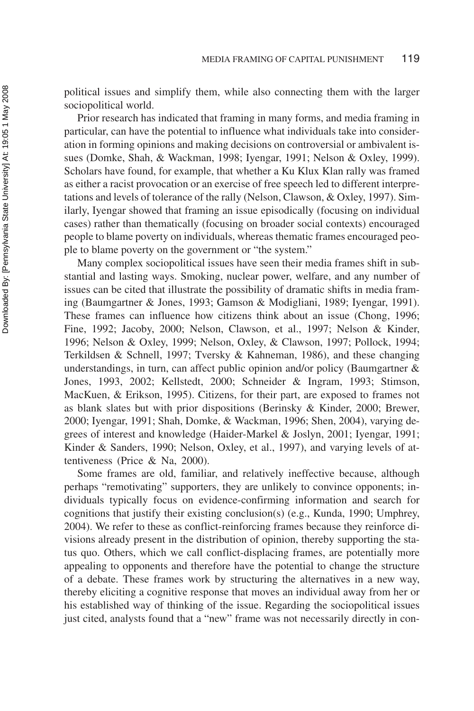political issues and simplify them, while also connecting them with the larger sociopolitical world.

Prior research has indicated that framing in many forms, and media framing in particular, can have the potential to influence what individuals take into consideration in forming opinions and making decisions on controversial or ambivalent issues (Domke, Shah, & Wackman, 1998; Iyengar, 1991; Nelson & Oxley, 1999). Scholars have found, for example, that whether a Ku Klux Klan rally was framed as either a racist provocation or an exercise of free speech led to different interpretations and levels of tolerance of the rally (Nelson, Clawson, & Oxley, 1997). Similarly, Iyengar showed that framing an issue episodically (focusing on individual cases) rather than thematically (focusing on broader social contexts) encouraged people to blame poverty on individuals, whereas thematic frames encouraged people to blame poverty on the government or "the system."

Many complex sociopolitical issues have seen their media frames shift in substantial and lasting ways. Smoking, nuclear power, welfare, and any number of issues can be cited that illustrate the possibility of dramatic shifts in media framing (Baumgartner & Jones, 1993; Gamson & Modigliani, 1989; Iyengar, 1991). These frames can influence how citizens think about an issue (Chong, 1996; Fine, 1992; Jacoby, 2000; Nelson, Clawson, et al., 1997; Nelson & Kinder, 1996; Nelson & Oxley, 1999; Nelson, Oxley, & Clawson, 1997; Pollock, 1994; Terkildsen & Schnell, 1997; Tversky & Kahneman, 1986), and these changing understandings, in turn, can affect public opinion and/or policy (Baumgartner & Jones, 1993, 2002; Kellstedt, 2000; Schneider & Ingram, 1993; Stimson, MacKuen, & Erikson, 1995). Citizens, for their part, are exposed to frames not as blank slates but with prior dispositions (Berinsky & Kinder, 2000; Brewer, 2000; Iyengar, 1991; Shah, Domke, & Wackman, 1996; Shen, 2004), varying degrees of interest and knowledge (Haider-Markel & Joslyn, 2001; Iyengar, 1991; Kinder & Sanders, 1990; Nelson, Oxley, et al., 1997), and varying levels of attentiveness (Price & Na, 2000).

Some frames are old, familiar, and relatively ineffective because, although perhaps "remotivating" supporters, they are unlikely to convince opponents; individuals typically focus on evidence-confirming information and search for cognitions that justify their existing conclusion(s) (e.g., Kunda, 1990; Umphrey, 2004). We refer to these as conflict-reinforcing frames because they reinforce divisions already present in the distribution of opinion, thereby supporting the status quo. Others, which we call conflict-displacing frames, are potentially more appealing to opponents and therefore have the potential to change the structure of a debate. These frames work by structuring the alternatives in a new way, thereby eliciting a cognitive response that moves an individual away from her or his established way of thinking of the issue. Regarding the sociopolitical issues just cited, analysts found that a "new" frame was not necessarily directly in con-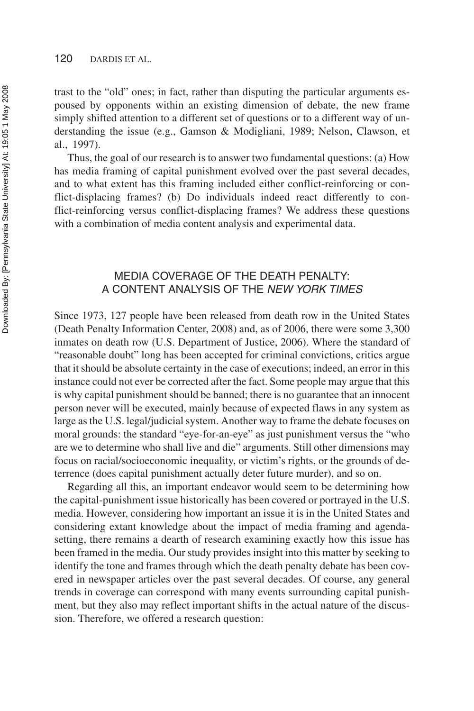trast to the "old" ones; in fact, rather than disputing the particular arguments espoused by opponents within an existing dimension of debate, the new frame simply shifted attention to a different set of questions or to a different way of understanding the issue (e.g., Gamson & Modigliani, 1989; Nelson, Clawson, et al., 1997).

Thus, the goal of our research is to answer two fundamental questions: (a) How has media framing of capital punishment evolved over the past several decades, and to what extent has this framing included either conflict-reinforcing or conflict-displacing frames? (b) Do individuals indeed react differently to conflict-reinforcing versus conflict-displacing frames? We address these questions with a combination of media content analysis and experimental data.

# MEDIA COVERAGE OF THE DEATH PENALTY: A CONTENT ANALYSIS OF THE NEW YORK TIMES

Since 1973, 127 people have been released from death row in the United States (Death Penalty Information Center, 2008) and, as of 2006, there were some 3,300 inmates on death row (U.S. Department of Justice, 2006). Where the standard of "reasonable doubt" long has been accepted for criminal convictions, critics argue that it should be absolute certainty in the case of executions; indeed, an error in this instance could not ever be corrected after the fact. Some people may argue that this is why capital punishment should be banned; there is no guarantee that an innocent person never will be executed, mainly because of expected flaws in any system as large as the U.S. legal/judicial system. Another way to frame the debate focuses on moral grounds: the standard "eye-for-an-eye" as just punishment versus the "who are we to determine who shall live and die" arguments. Still other dimensions may focus on racial/socioeconomic inequality, or victim's rights, or the grounds of deterrence (does capital punishment actually deter future murder), and so on.

Regarding all this, an important endeavor would seem to be determining how the capital-punishment issue historically has been covered or portrayed in the U.S. media. However, considering how important an issue it is in the United States and considering extant knowledge about the impact of media framing and agendasetting, there remains a dearth of research examining exactly how this issue has been framed in the media. Our study provides insight into this matter by seeking to identify the tone and frames through which the death penalty debate has been covered in newspaper articles over the past several decades. Of course, any general trends in coverage can correspond with many events surrounding capital punishment, but they also may reflect important shifts in the actual nature of the discussion. Therefore, we offered a research question: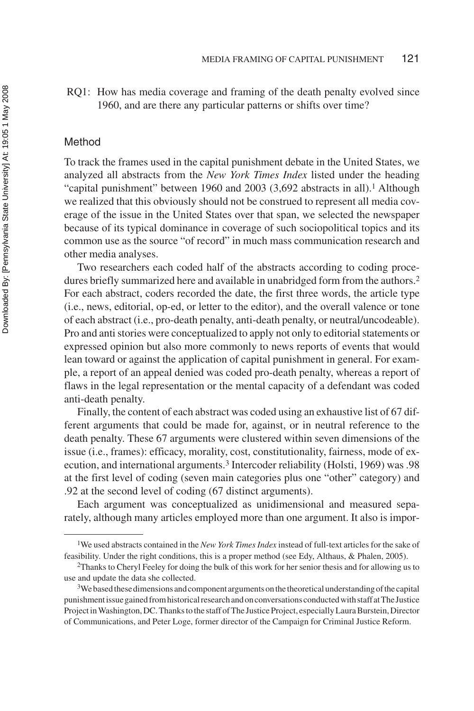RQ1: How has media coverage and framing of the death penalty evolved since 1960, and are there any particular patterns or shifts over time?

#### Method

To track the frames used in the capital punishment debate in the United States, we analyzed all abstracts from the *New York Times Index* listed under the heading "capital punishment" between 1960 and 2003 (3,692 abstracts in all).<sup>1</sup> Although we realized that this obviously should not be construed to represent all media coverage of the issue in the United States over that span, we selected the newspaper because of its typical dominance in coverage of such sociopolitical topics and its common use as the source "of record" in much mass communication research and other media analyses.

Two researchers each coded half of the abstracts according to coding procedures briefly summarized here and available in unabridged form from the authors.<sup>2</sup> For each abstract, coders recorded the date, the first three words, the article type (i.e., news, editorial, op-ed, or letter to the editor), and the overall valence or tone of each abstract (i.e., pro-death penalty, anti-death penalty, or neutral/uncodeable). Pro and anti stories were conceptualized to apply not only to editorial statements or expressed opinion but also more commonly to news reports of events that would lean toward or against the application of capital punishment in general. For example, a report of an appeal denied was coded pro-death penalty, whereas a report of flaws in the legal representation or the mental capacity of a defendant was coded anti-death penalty.

Finally, the content of each abstract was coded using an exhaustive list of 67 different arguments that could be made for, against, or in neutral reference to the death penalty. These 67 arguments were clustered within seven dimensions of the issue (i.e., frames): efficacy, morality, cost, constitutionality, fairness, mode of execution, and international arguments.3 Intercoder reliability (Holsti, 1969) was .98 at the first level of coding (seven main categories plus one "other" category) and .92 at the second level of coding (67 distinct arguments).

Each argument was conceptualized as unidimensional and measured separately, although many articles employed more than one argument. It also is impor-

<sup>1</sup>We used abstracts contained in the *New York Times Index* instead of full-text articles for the sake of feasibility. Under the right conditions, this is a proper method (see Edy, Althaus, & Phalen, 2005).

<sup>2</sup>Thanks to Cheryl Feeley for doing the bulk of this work for her senior thesis and for allowing us to use and update the data she collected.

<sup>&</sup>lt;sup>3</sup>We based these dimensions and component arguments on the theoretical understanding of the capital punishment issue gained from historical research and on conversations conducted with staff at The Justice Project in Washington, DC. Thanks to the staff of The Justice Project, especially Laura Burstein, Director of Communications, and Peter Loge, former director of the Campaign for Criminal Justice Reform.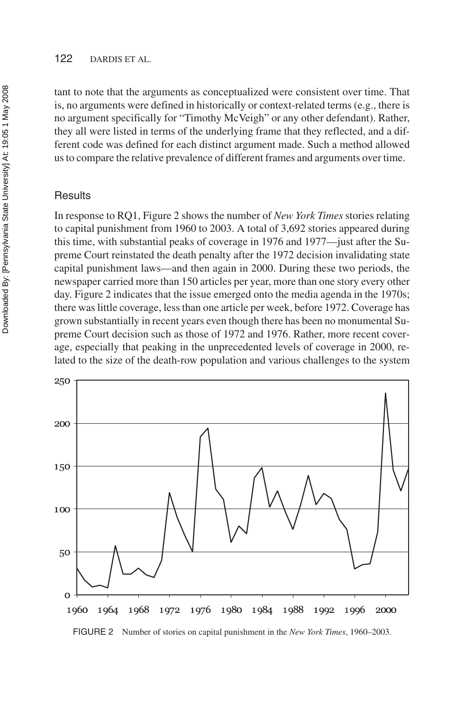tant to note that the arguments as conceptualized were consistent over time. That is, no arguments were defined in historically or context-related terms (e.g., there is no argument specifically for "Timothy McVeigh" or any other defendant). Rather, they all were listed in terms of the underlying frame that they reflected, and a different code was defined for each distinct argument made. Such a method allowed us to compare the relative prevalence of different frames and arguments over time.

#### **Results**

In response to RQ1, Figure 2 shows the number of *New York Times* stories relating to capital punishment from 1960 to 2003. A total of 3,692 stories appeared during this time, with substantial peaks of coverage in 1976 and 1977—just after the Supreme Court reinstated the death penalty after the 1972 decision invalidating state capital punishment laws—and then again in 2000. During these two periods, the newspaper carried more than 150 articles per year, more than one story every other day. Figure 2 indicates that the issue emerged onto the media agenda in the 1970s; there was little coverage, less than one article per week, before 1972. Coverage has grown substantially in recent years even though there has been no monumental Supreme Court decision such as those of 1972 and 1976. Rather, more recent coverage, especially that peaking in the unprecedented levels of coverage in 2000, related to the size of the death-row population and various challenges to the system



FIGURE 2 Number of stories on capital punishment in the *New York Times*, 1960–2003.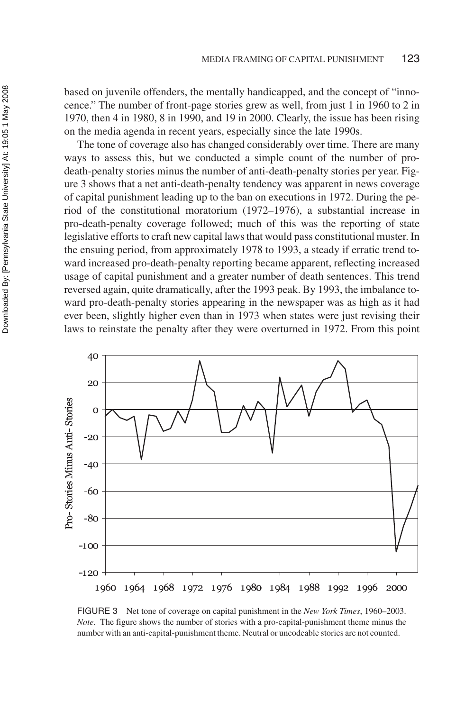based on juvenile offenders, the mentally handicapped, and the concept of "innocence." The number of front-page stories grew as well, from just 1 in 1960 to 2 in 1970, then 4 in 1980, 8 in 1990, and 19 in 2000. Clearly, the issue has been rising on the media agenda in recent years, especially since the late 1990s.

The tone of coverage also has changed considerably over time. There are many ways to assess this, but we conducted a simple count of the number of prodeath-penalty stories minus the number of anti-death-penalty stories per year. Figure 3 shows that a net anti-death-penalty tendency was apparent in news coverage of capital punishment leading up to the ban on executions in 1972. During the period of the constitutional moratorium (1972–1976), a substantial increase in pro-death-penalty coverage followed; much of this was the reporting of state legislative efforts to craft new capital laws that would pass constitutional muster. In the ensuing period, from approximately 1978 to 1993, a steady if erratic trend toward increased pro-death-penalty reporting became apparent, reflecting increased usage of capital punishment and a greater number of death sentences. This trend reversed again, quite dramatically, after the 1993 peak. By 1993, the imbalance toward pro-death-penalty stories appearing in the newspaper was as high as it had ever been, slightly higher even than in 1973 when states were just revising their laws to reinstate the penalty after they were overturned in 1972. From this point



FIGURE 3 Net tone of coverage on capital punishment in the *New York Times*, 1960–2003. *Note*. The figure shows the number of stories with a pro-capital-punishment theme minus the number with an anti-capital-punishment theme. Neutral or uncodeable stories are not counted.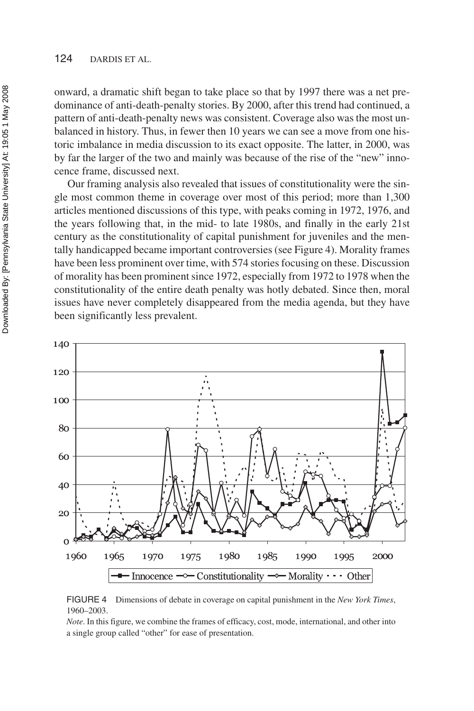onward, a dramatic shift began to take place so that by 1997 there was a net predominance of anti-death-penalty stories. By 2000, after this trend had continued, a pattern of anti-death-penalty news was consistent. Coverage also was the most unbalanced in history. Thus, in fewer then 10 years we can see a move from one historic imbalance in media discussion to its exact opposite. The latter, in 2000, was by far the larger of the two and mainly was because of the rise of the "new" innocence frame, discussed next.

Our framing analysis also revealed that issues of constitutionality were the single most common theme in coverage over most of this period; more than 1,300 articles mentioned discussions of this type, with peaks coming in 1972, 1976, and the years following that, in the mid- to late 1980s, and finally in the early 21st century as the constitutionality of capital punishment for juveniles and the mentally handicapped became important controversies (see Figure 4). Morality frames have been less prominent over time, with 574 stories focusing on these. Discussion of morality has been prominent since 1972, especially from 1972 to 1978 when the constitutionality of the entire death penalty was hotly debated. Since then, moral issues have never completely disappeared from the media agenda, but they have been significantly less prevalent.



FIGURE 4 Dimensions of debate in coverage on capital punishment in the *New York Times*, 1960–2003.

*Note*. In this figure, we combine the frames of efficacy, cost, mode, international, and other into a single group called "other" for ease of presentation.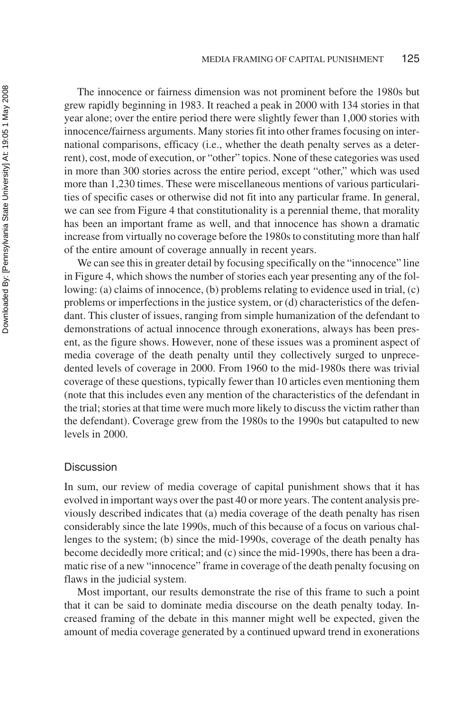The innocence or fairness dimension was not prominent before the 1980s but grew rapidly beginning in 1983. It reached a peak in 2000 with 134 stories in that year alone; over the entire period there were slightly fewer than 1,000 stories with innocence/fairness arguments. Many stories fit into other frames focusing on international comparisons, efficacy (i.e., whether the death penalty serves as a deterrent), cost, mode of execution, or "other" topics. None of these categories was used in more than 300 stories across the entire period, except "other," which was used more than 1,230 times. These were miscellaneous mentions of various particularities of specific cases or otherwise did not fit into any particular frame. In general, we can see from Figure 4 that constitutionality is a perennial theme, that morality has been an important frame as well, and that innocence has shown a dramatic increase from virtually no coverage before the 1980s to constituting more than half of the entire amount of coverage annually in recent years.

We can see this in greater detail by focusing specifically on the "innocence" line in Figure 4, which shows the number of stories each year presenting any of the following: (a) claims of innocence, (b) problems relating to evidence used in trial, (c) problems or imperfections in the justice system, or (d) characteristics of the defendant. This cluster of issues, ranging from simple humanization of the defendant to demonstrations of actual innocence through exonerations, always has been present, as the figure shows. However, none of these issues was a prominent aspect of media coverage of the death penalty until they collectively surged to unprecedented levels of coverage in 2000. From 1960 to the mid-1980s there was trivial coverage of these questions, typically fewer than 10 articles even mentioning them (note that this includes even any mention of the characteristics of the defendant in the trial; stories at that time were much more likely to discuss the victim rather than the defendant). Coverage grew from the 1980s to the 1990s but catapulted to new levels in 2000.

#### Discussion

In sum, our review of media coverage of capital punishment shows that it has evolved in important ways over the past 40 or more years. The content analysis previously described indicates that (a) media coverage of the death penalty has risen considerably since the late 1990s, much of this because of a focus on various challenges to the system; (b) since the mid-1990s, coverage of the death penalty has become decidedly more critical; and (c) since the mid-1990s, there has been a dramatic rise of a new "innocence" frame in coverage of the death penalty focusing on flaws in the judicial system.

Most important, our results demonstrate the rise of this frame to such a point that it can be said to dominate media discourse on the death penalty today. Increased framing of the debate in this manner might well be expected, given the amount of media coverage generated by a continued upward trend in exonerations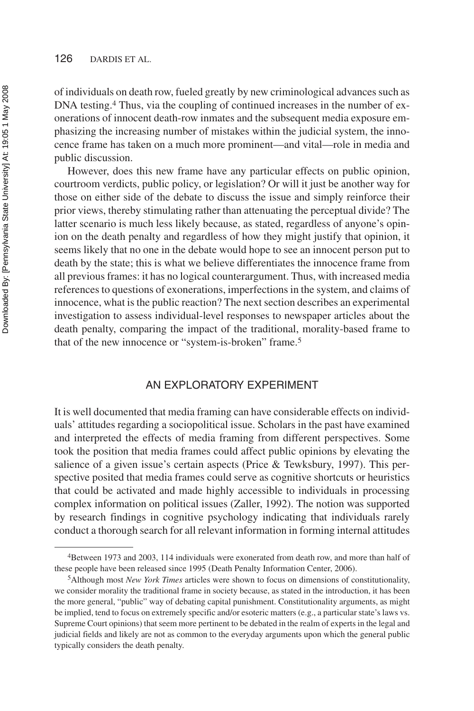of individuals on death row, fueled greatly by new criminological advances such as DNA testing.4 Thus, via the coupling of continued increases in the number of exonerations of innocent death-row inmates and the subsequent media exposure emphasizing the increasing number of mistakes within the judicial system, the innocence frame has taken on a much more prominent—and vital—role in media and public discussion.

However, does this new frame have any particular effects on public opinion, courtroom verdicts, public policy, or legislation? Or will it just be another way for those on either side of the debate to discuss the issue and simply reinforce their prior views, thereby stimulating rather than attenuating the perceptual divide? The latter scenario is much less likely because, as stated, regardless of anyone's opinion on the death penalty and regardless of how they might justify that opinion, it seems likely that no one in the debate would hope to see an innocent person put to death by the state; this is what we believe differentiates the innocence frame from all previous frames: it has no logical counterargument. Thus, with increased media references to questions of exonerations, imperfections in the system, and claims of innocence, what is the public reaction? The next section describes an experimental investigation to assess individual-level responses to newspaper articles about the death penalty, comparing the impact of the traditional, morality-based frame to that of the new innocence or "system-is-broken" frame.5

# AN EXPLORATORY EXPERIMENT

It is well documented that media framing can have considerable effects on individuals' attitudes regarding a sociopolitical issue. Scholars in the past have examined and interpreted the effects of media framing from different perspectives. Some took the position that media frames could affect public opinions by elevating the salience of a given issue's certain aspects (Price & Tewksbury, 1997). This perspective posited that media frames could serve as cognitive shortcuts or heuristics that could be activated and made highly accessible to individuals in processing complex information on political issues (Zaller, 1992). The notion was supported by research findings in cognitive psychology indicating that individuals rarely conduct a thorough search for all relevant information in forming internal attitudes

<sup>4</sup>Between 1973 and 2003, 114 individuals were exonerated from death row, and more than half of these people have been released since 1995 (Death Penalty Information Center, 2006).

<sup>5</sup>Although most *New York Times* articles were shown to focus on dimensions of constitutionality, we consider morality the traditional frame in society because, as stated in the introduction, it has been the more general, "public" way of debating capital punishment. Constitutionality arguments, as might be implied, tend to focus on extremely specific and/or esoteric matters (e.g., a particular state's laws vs. Supreme Court opinions) that seem more pertinent to be debated in the realm of experts in the legal and judicial fields and likely are not as common to the everyday arguments upon which the general public typically considers the death penalty.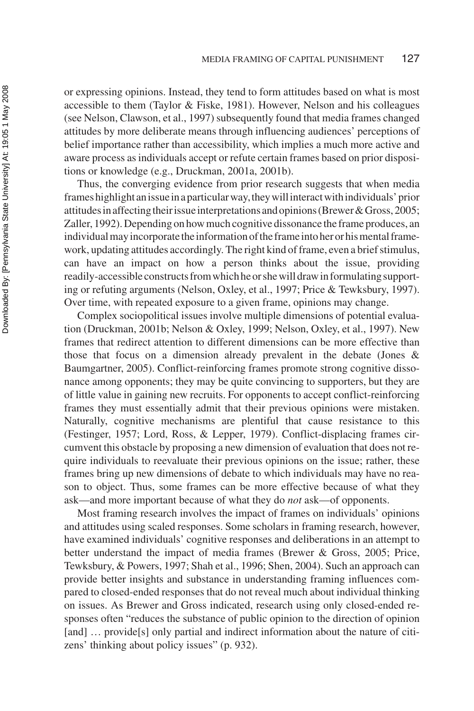or expressing opinions. Instead, they tend to form attitudes based on what is most accessible to them (Taylor & Fiske, 1981). However, Nelson and his colleagues (see Nelson, Clawson, et al., 1997) subsequently found that media frames changed attitudes by more deliberate means through influencing audiences' perceptions of belief importance rather than accessibility, which implies a much more active and aware process as individuals accept or refute certain frames based on prior dispositions or knowledge (e.g., Druckman, 2001a, 2001b).

Thus, the converging evidence from prior research suggests that when media frames highlight an issue in a particular way, they will interact with individuals' prior attitudes in affecting their issue interpretations and opinions (Brewer & Gross, 2005; Zaller, 1992). Depending on how much cognitive dissonance the frame produces, an individual may incorporate the information of the frame into her or his mental framework, updating attitudes accordingly. The right kind of frame, even a brief stimulus, can have an impact on how a person thinks about the issue, providing readily-accessible constructs from which he or she will draw in formulating supporting or refuting arguments (Nelson, Oxley, et al., 1997; Price & Tewksbury, 1997). Over time, with repeated exposure to a given frame, opinions may change.

Complex sociopolitical issues involve multiple dimensions of potential evaluation (Druckman, 2001b; Nelson & Oxley, 1999; Nelson, Oxley, et al., 1997). New frames that redirect attention to different dimensions can be more effective than those that focus on a dimension already prevalent in the debate (Jones & Baumgartner, 2005). Conflict-reinforcing frames promote strong cognitive dissonance among opponents; they may be quite convincing to supporters, but they are of little value in gaining new recruits. For opponents to accept conflict-reinforcing frames they must essentially admit that their previous opinions were mistaken. Naturally, cognitive mechanisms are plentiful that cause resistance to this (Festinger, 1957; Lord, Ross, & Lepper, 1979). Conflict-displacing frames circumvent this obstacle by proposing a new dimension of evaluation that does not require individuals to reevaluate their previous opinions on the issue; rather, these frames bring up new dimensions of debate to which individuals may have no reason to object. Thus, some frames can be more effective because of what they ask—and more important because of what they do *not* ask—of opponents.

Most framing research involves the impact of frames on individuals' opinions and attitudes using scaled responses. Some scholars in framing research, however, have examined individuals' cognitive responses and deliberations in an attempt to better understand the impact of media frames (Brewer & Gross, 2005; Price, Tewksbury, & Powers, 1997; Shah et al., 1996; Shen, 2004). Such an approach can provide better insights and substance in understanding framing influences compared to closed-ended responses that do not reveal much about individual thinking on issues. As Brewer and Gross indicated, research using only closed-ended responses often "reduces the substance of public opinion to the direction of opinion [and] ... provide[s] only partial and indirect information about the nature of citizens' thinking about policy issues" (p. 932).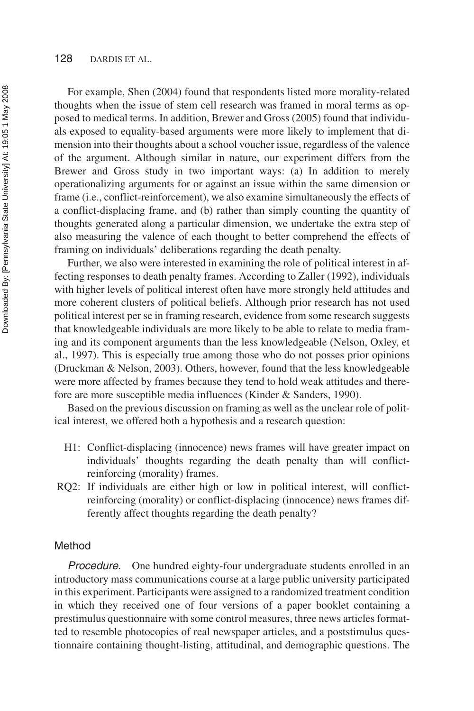For example, Shen (2004) found that respondents listed more morality-related thoughts when the issue of stem cell research was framed in moral terms as opposed to medical terms. In addition, Brewer and Gross (2005) found that individuals exposed to equality-based arguments were more likely to implement that dimension into their thoughts about a school voucher issue, regardless of the valence of the argument. Although similar in nature, our experiment differs from the Brewer and Gross study in two important ways: (a) In addition to merely operationalizing arguments for or against an issue within the same dimension or frame (i.e., conflict-reinforcement), we also examine simultaneously the effects of a conflict-displacing frame, and (b) rather than simply counting the quantity of thoughts generated along a particular dimension, we undertake the extra step of also measuring the valence of each thought to better comprehend the effects of framing on individuals' deliberations regarding the death penalty.

Further, we also were interested in examining the role of political interest in affecting responses to death penalty frames. According to Zaller (1992), individuals with higher levels of political interest often have more strongly held attitudes and more coherent clusters of political beliefs. Although prior research has not used political interest per se in framing research, evidence from some research suggests that knowledgeable individuals are more likely to be able to relate to media framing and its component arguments than the less knowledgeable (Nelson, Oxley, et al., 1997). This is especially true among those who do not posses prior opinions (Druckman & Nelson, 2003). Others, however, found that the less knowledgeable were more affected by frames because they tend to hold weak attitudes and therefore are more susceptible media influences (Kinder & Sanders, 1990).

Based on the previous discussion on framing as well as the unclear role of political interest, we offered both a hypothesis and a research question:

- H1: Conflict-displacing (innocence) news frames will have greater impact on individuals' thoughts regarding the death penalty than will conflictreinforcing (morality) frames.
- RQ2: If individuals are either high or low in political interest, will conflictreinforcing (morality) or conflict-displacing (innocence) news frames differently affect thoughts regarding the death penalty?

#### Method

Procedure. One hundred eighty-four undergraduate students enrolled in an introductory mass communications course at a large public university participated in this experiment. Participants were assigned to a randomized treatment condition in which they received one of four versions of a paper booklet containing a prestimulus questionnaire with some control measures, three news articles formatted to resemble photocopies of real newspaper articles, and a poststimulus questionnaire containing thought-listing, attitudinal, and demographic questions. The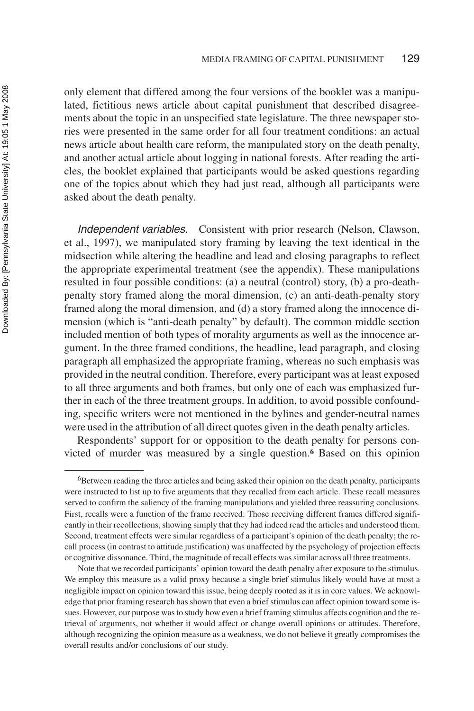only element that differed among the four versions of the booklet was a manipulated, fictitious news article about capital punishment that described disagreements about the topic in an unspecified state legislature. The three newspaper stories were presented in the same order for all four treatment conditions: an actual news article about health care reform, the manipulated story on the death penalty, and another actual article about logging in national forests. After reading the articles, the booklet explained that participants would be asked questions regarding one of the topics about which they had just read, although all participants were asked about the death penalty.

Independent variables. Consistent with prior research (Nelson, Clawson, et al., 1997), we manipulated story framing by leaving the text identical in the midsection while altering the headline and lead and closing paragraphs to reflect the appropriate experimental treatment (see the appendix). These manipulations resulted in four possible conditions: (a) a neutral (control) story, (b) a pro-deathpenalty story framed along the moral dimension, (c) an anti-death-penalty story framed along the moral dimension, and (d) a story framed along the innocence dimension (which is "anti-death penalty" by default). The common middle section included mention of both types of morality arguments as well as the innocence argument. In the three framed conditions, the headline, lead paragraph, and closing paragraph all emphasized the appropriate framing, whereas no such emphasis was provided in the neutral condition. Therefore, every participant was at least exposed to all three arguments and both frames, but only one of each was emphasized further in each of the three treatment groups. In addition, to avoid possible confounding, specific writers were not mentioned in the bylines and gender-neutral names were used in the attribution of all direct quotes given in the death penalty articles.

Respondents' support for or opposition to the death penalty for persons convicted of murder was measured by a single question.**<sup>6</sup>** Based on this opinion

<sup>6</sup>Between reading the three articles and being asked their opinion on the death penalty, participants were instructed to list up to five arguments that they recalled from each article. These recall measures served to confirm the saliency of the framing manipulations and yielded three reassuring conclusions. First, recalls were a function of the frame received: Those receiving different frames differed significantly in their recollections, showing simply that they had indeed read the articles and understood them. Second, treatment effects were similar regardless of a participant's opinion of the death penalty; the recall process (in contrast to attitude justification) was unaffected by the psychology of projection effects or cognitive dissonance. Third, the magnitude of recall effects was similar across all three treatments.

Note that we recorded participants' opinion toward the death penalty after exposure to the stimulus. We employ this measure as a valid proxy because a single brief stimulus likely would have at most a negligible impact on opinion toward this issue, being deeply rooted as it is in core values. We acknowledge that prior framing research has shown that even a brief stimulus can affect opinion toward some issues. However, our purpose was to study how even a brief framing stimulus affects cognition and the retrieval of arguments, not whether it would affect or change overall opinions or attitudes. Therefore, although recognizing the opinion measure as a weakness, we do not believe it greatly compromises the overall results and/or conclusions of our study.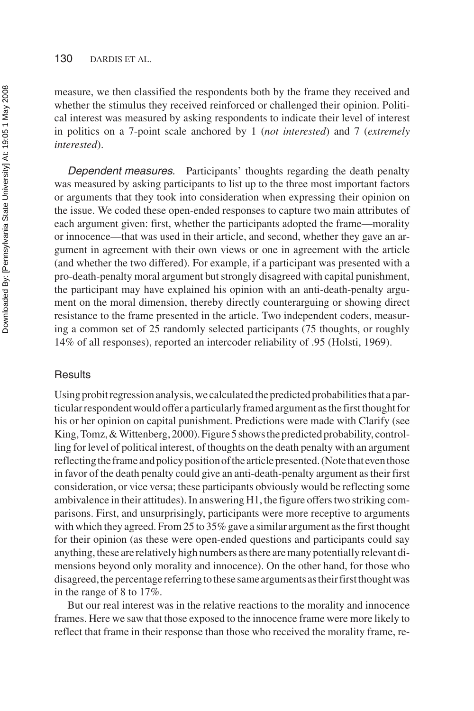measure, we then classified the respondents both by the frame they received and whether the stimulus they received reinforced or challenged their opinion. Political interest was measured by asking respondents to indicate their level of interest in politics on a 7-point scale anchored by 1 (*not interested*) and 7 (*extremely interested*).

Dependent measures. Participants' thoughts regarding the death penalty was measured by asking participants to list up to the three most important factors or arguments that they took into consideration when expressing their opinion on the issue. We coded these open-ended responses to capture two main attributes of each argument given: first, whether the participants adopted the frame—morality or innocence—that was used in their article, and second, whether they gave an argument in agreement with their own views or one in agreement with the article (and whether the two differed). For example, if a participant was presented with a pro-death-penalty moral argument but strongly disagreed with capital punishment, the participant may have explained his opinion with an anti-death-penalty argument on the moral dimension, thereby directly counterarguing or showing direct resistance to the frame presented in the article. Two independent coders, measuring a common set of 25 randomly selected participants (75 thoughts, or roughly 14% of all responses), reported an intercoder reliability of .95 (Holsti, 1969).

#### **Results**

Using probit regression analysis, we calculated the predicted probabilities that a particular respondent would offer a particularly framed argument as the first thought for his or her opinion on capital punishment. Predictions were made with Clarify (see King, Tomz, & Wittenberg, 2000). Figure 5 shows the predicted probability, controlling for level of political interest, of thoughts on the death penalty with an argument reflecting the frame and policy position of the article presented. (Note that even those in favor of the death penalty could give an anti-death-penalty argument as their first consideration, or vice versa; these participants obviously would be reflecting some ambivalence in their attitudes). In answering H1, the figure offers two striking comparisons. First, and unsurprisingly, participants were more receptive to arguments with which they agreed. From 25 to 35% gave a similar argument as the first thought for their opinion (as these were open-ended questions and participants could say anything, these are relatively high numbers as there are many potentially relevant dimensions beyond only morality and innocence). On the other hand, for those who disagreed, the percentage referring to these same arguments as their first thought was in the range of 8 to 17%.

But our real interest was in the relative reactions to the morality and innocence frames. Here we saw that those exposed to the innocence frame were more likely to reflect that frame in their response than those who received the morality frame, re-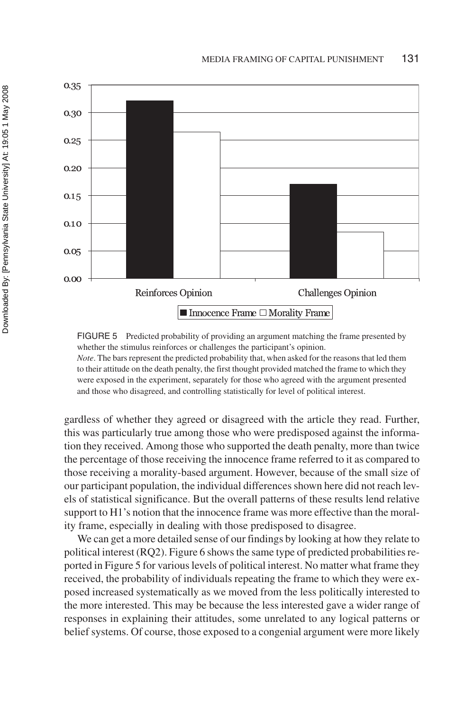

FIGURE 5 Predicted probability of providing an argument matching the frame presented by whether the stimulus reinforces or challenges the participant's opinion.

*Note*. The bars represent the predicted probability that, when asked for the reasons that led them to their attitude on the death penalty, the first thought provided matched the frame to which they were exposed in the experiment, separately for those who agreed with the argument presented and those who disagreed, and controlling statistically for level of political interest.

gardless of whether they agreed or disagreed with the article they read. Further, this was particularly true among those who were predisposed against the information they received. Among those who supported the death penalty, more than twice the percentage of those receiving the innocence frame referred to it as compared to those receiving a morality-based argument. However, because of the small size of our participant population, the individual differences shown here did not reach levels of statistical significance. But the overall patterns of these results lend relative support to H1's notion that the innocence frame was more effective than the morality frame, especially in dealing with those predisposed to disagree.

We can get a more detailed sense of our findings by looking at how they relate to political interest (RQ2). Figure 6 shows the same type of predicted probabilities reported in Figure 5 for various levels of political interest. No matter what frame they received, the probability of individuals repeating the frame to which they were exposed increased systematically as we moved from the less politically interested to the more interested. This may be because the less interested gave a wider range of responses in explaining their attitudes, some unrelated to any logical patterns or belief systems. Of course, those exposed to a congenial argument were more likely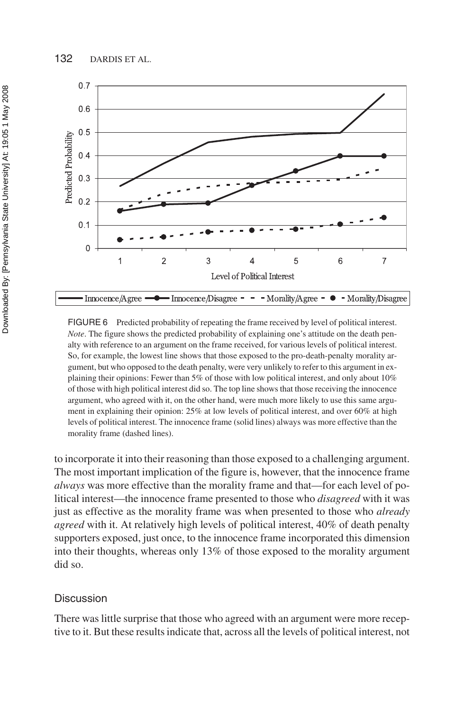

FIGURE 6 Predicted probability of repeating the frame received by level of political interest. *Note*. The figure shows the predicted probability of explaining one's attitude on the death penalty with reference to an argument on the frame received, for various levels of political interest. So, for example, the lowest line shows that those exposed to the pro-death-penalty morality argument, but who opposed to the death penalty, were very unlikely to refer to this argument in explaining their opinions: Fewer than 5% of those with low political interest, and only about 10% of those with high political interest did so. The top line shows that those receiving the innocence argument, who agreed with it, on the other hand, were much more likely to use this same argument in explaining their opinion: 25% at low levels of political interest, and over 60% at high levels of political interest. The innocence frame (solid lines) always was more effective than the morality frame (dashed lines).

to incorporate it into their reasoning than those exposed to a challenging argument. The most important implication of the figure is, however, that the innocence frame *always* was more effective than the morality frame and that—for each level of political interest—the innocence frame presented to those who *disagreed* with it was just as effective as the morality frame was when presented to those who *already agreed* with it. At relatively high levels of political interest, 40% of death penalty supporters exposed, just once, to the innocence frame incorporated this dimension into their thoughts, whereas only 13% of those exposed to the morality argument did so.

# **Discussion**

There was little surprise that those who agreed with an argument were more receptive to it. But these results indicate that, across all the levels of political interest, not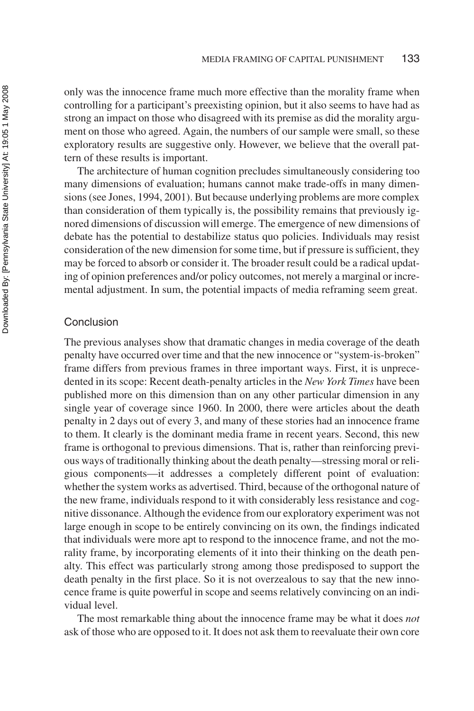only was the innocence frame much more effective than the morality frame when controlling for a participant's preexisting opinion, but it also seems to have had as strong an impact on those who disagreed with its premise as did the morality argument on those who agreed. Again, the numbers of our sample were small, so these exploratory results are suggestive only. However, we believe that the overall pattern of these results is important.

The architecture of human cognition precludes simultaneously considering too many dimensions of evaluation; humans cannot make trade-offs in many dimensions (see Jones, 1994, 2001). But because underlying problems are more complex than consideration of them typically is, the possibility remains that previously ignored dimensions of discussion will emerge. The emergence of new dimensions of debate has the potential to destabilize status quo policies. Individuals may resist consideration of the new dimension for some time, but if pressure is sufficient, they may be forced to absorb or consider it. The broader result could be a radical updating of opinion preferences and/or policy outcomes, not merely a marginal or incremental adjustment. In sum, the potential impacts of media reframing seem great.

#### Conclusion

The previous analyses show that dramatic changes in media coverage of the death penalty have occurred over time and that the new innocence or "system-is-broken" frame differs from previous frames in three important ways. First, it is unprecedented in its scope: Recent death-penalty articles in the *New York Times* have been published more on this dimension than on any other particular dimension in any single year of coverage since 1960. In 2000, there were articles about the death penalty in 2 days out of every 3, and many of these stories had an innocence frame to them. It clearly is the dominant media frame in recent years. Second, this new frame is orthogonal to previous dimensions. That is, rather than reinforcing previous ways of traditionally thinking about the death penalty—stressing moral or religious components—it addresses a completely different point of evaluation: whether the system works as advertised. Third, because of the orthogonal nature of the new frame, individuals respond to it with considerably less resistance and cognitive dissonance. Although the evidence from our exploratory experiment was not large enough in scope to be entirely convincing on its own, the findings indicated that individuals were more apt to respond to the innocence frame, and not the morality frame, by incorporating elements of it into their thinking on the death penalty. This effect was particularly strong among those predisposed to support the death penalty in the first place. So it is not overzealous to say that the new innocence frame is quite powerful in scope and seems relatively convincing on an individual level.

The most remarkable thing about the innocence frame may be what it does *not* ask of those who are opposed to it. It does not ask them to reevaluate their own core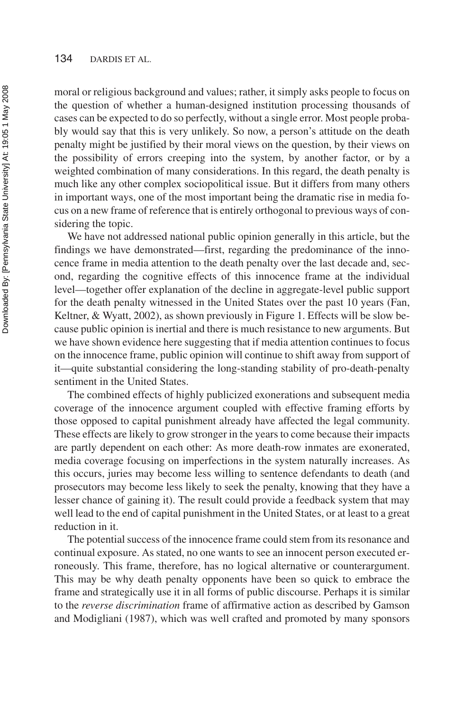moral or religious background and values; rather, it simply asks people to focus on the question of whether a human-designed institution processing thousands of cases can be expected to do so perfectly, without a single error. Most people probably would say that this is very unlikely. So now, a person's attitude on the death penalty might be justified by their moral views on the question, by their views on the possibility of errors creeping into the system, by another factor, or by a weighted combination of many considerations. In this regard, the death penalty is much like any other complex sociopolitical issue. But it differs from many others in important ways, one of the most important being the dramatic rise in media focus on a new frame of reference that is entirely orthogonal to previous ways of considering the topic.

We have not addressed national public opinion generally in this article, but the findings we have demonstrated—first, regarding the predominance of the innocence frame in media attention to the death penalty over the last decade and, second, regarding the cognitive effects of this innocence frame at the individual level—together offer explanation of the decline in aggregate-level public support for the death penalty witnessed in the United States over the past 10 years (Fan, Keltner, & Wyatt, 2002), as shown previously in Figure 1. Effects will be slow because public opinion is inertial and there is much resistance to new arguments. But we have shown evidence here suggesting that if media attention continues to focus on the innocence frame, public opinion will continue to shift away from support of it—quite substantial considering the long-standing stability of pro-death-penalty sentiment in the United States.

The combined effects of highly publicized exonerations and subsequent media coverage of the innocence argument coupled with effective framing efforts by those opposed to capital punishment already have affected the legal community. These effects are likely to grow stronger in the years to come because their impacts are partly dependent on each other: As more death-row inmates are exonerated, media coverage focusing on imperfections in the system naturally increases. As this occurs, juries may become less willing to sentence defendants to death (and prosecutors may become less likely to seek the penalty, knowing that they have a lesser chance of gaining it). The result could provide a feedback system that may well lead to the end of capital punishment in the United States, or at least to a great reduction in it.

The potential success of the innocence frame could stem from its resonance and continual exposure. As stated, no one wants to see an innocent person executed erroneously. This frame, therefore, has no logical alternative or counterargument. This may be why death penalty opponents have been so quick to embrace the frame and strategically use it in all forms of public discourse. Perhaps it is similar to the *reverse discrimination* frame of affirmative action as described by Gamson and Modigliani (1987), which was well crafted and promoted by many sponsors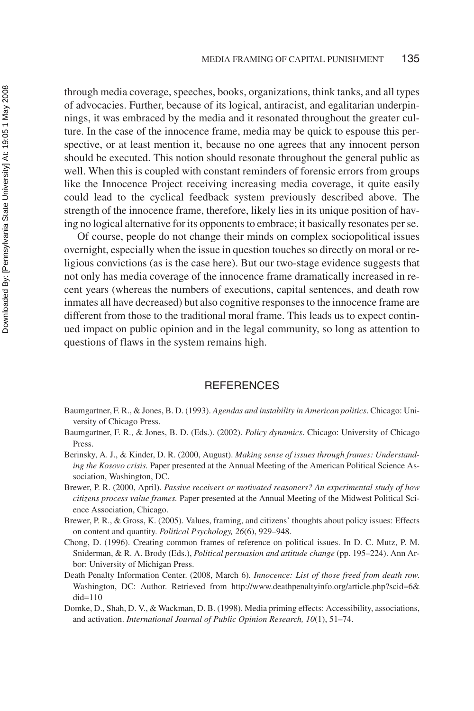through media coverage, speeches, books, organizations, think tanks, and all types of advocacies. Further, because of its logical, antiracist, and egalitarian underpinnings, it was embraced by the media and it resonated throughout the greater culture. In the case of the innocence frame, media may be quick to espouse this perspective, or at least mention it, because no one agrees that any innocent person should be executed. This notion should resonate throughout the general public as well. When this is coupled with constant reminders of forensic errors from groups like the Innocence Project receiving increasing media coverage, it quite easily could lead to the cyclical feedback system previously described above. The strength of the innocence frame, therefore, likely lies in its unique position of having no logical alternative for its opponents to embrace; it basically resonates per se.

Of course, people do not change their minds on complex sociopolitical issues overnight, especially when the issue in question touches so directly on moral or religious convictions (as is the case here). But our two-stage evidence suggests that not only has media coverage of the innocence frame dramatically increased in recent years (whereas the numbers of executions, capital sentences, and death row inmates all have decreased) but also cognitive responses to the innocence frame are different from those to the traditional moral frame. This leads us to expect continued impact on public opinion and in the legal community, so long as attention to questions of flaws in the system remains high.

# **REFERENCES**

- Baumgartner, F. R., & Jones, B. D. (1993). *Agendas and instability in American politics*. Chicago: University of Chicago Press.
- Baumgartner, F. R., & Jones, B. D. (Eds.). (2002). *Policy dynamics*. Chicago: University of Chicago Press.
- Berinsky, A. J., & Kinder, D. R. (2000, August). *Making sense of issues through frames: Understanding the Kosovo crisis.* Paper presented at the Annual Meeting of the American Political Science Association, Washington, DC.
- Brewer, P. R. (2000, April). *Passive receivers or motivated reasoners? An experimental study of how citizens process value frames.* Paper presented at the Annual Meeting of the Midwest Political Science Association, Chicago.
- Brewer, P. R., & Gross, K. (2005). Values, framing, and citizens' thoughts about policy issues: Effects on content and quantity. *Political Psychology, 26*(6), 929–948.
- Chong, D. (1996). Creating common frames of reference on political issues. In D. C. Mutz, P. M. Sniderman, & R. A. Brody (Eds.), *Political persuasion and attitude change* (pp. 195–224). Ann Arbor: University of Michigan Press.
- Death Penalty Information Center. (2008, March 6). *Innocence: List of those freed from death row*. Washington, DC: Author. Retrieved from http://www.deathpenaltyinfo.org/article.php?scid=6&  $di$ d $=110$
- Domke, D., Shah, D. V., & Wackman, D. B. (1998). Media priming effects: Accessibility, associations, and activation. *International Journal of Public Opinion Research, 10*(1), 51–74.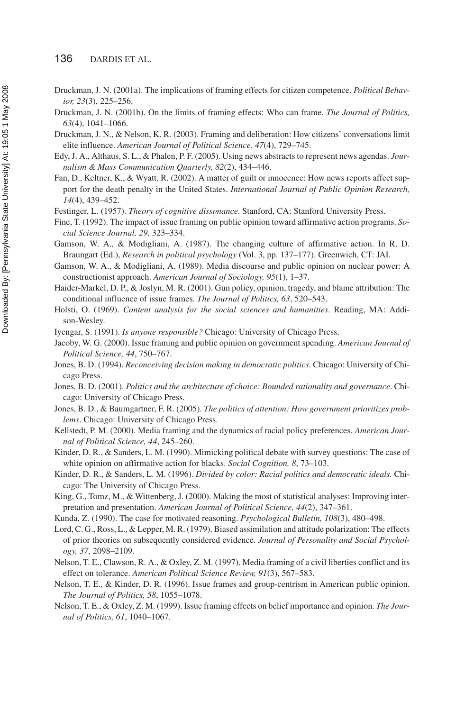- Druckman, J. N. (2001a). The implications of framing effects for citizen competence. *Political Behavior, 23*(3), 225–256.
- Druckman, J. N. (2001b). On the limits of framing effects: Who can frame. *The Journal of Politics, 63*(4), 1041–1066.
- Druckman, J. N., & Nelson, K. R. (2003). Framing and deliberation: How citizens' conversations limit elite influence. *American Journal of Political Science, 47*(4), 729–745.
- Edy, J. A., Althaus, S. L., & Phalen, P. F. (2005). Using news abstracts to represent news agendas. *Journalism & Mass Communication Quarterly, 82*(2), 434–446.
- Fan, D., Keltner, K., & Wyatt, R. (2002). A matter of guilt or innocence: How news reports affect support for the death penalty in the United States. *International Journal of Public Opinion Research, 14*(4), 439–452.
- Festinger, L. (1957). *Theory of cognitive dissonance*. Stanford, CA: Stanford University Press.
- Fine, T. (1992). The impact of issue framing on public opinion toward affirmative action programs. *Social Science Journal, 29*, 323–334.
- Gamson, W. A., & Modigliani, A. (1987). The changing culture of affirmative action. In R. D. Braungart (Ed.), *Research in political psychology* (Vol. 3, pp. 137–177). Greenwich, CT: JAI.
- Gamson, W. A., & Modigliani, A. (1989). Media discourse and public opinion on nuclear power: A constructionist approach. *American Journal of Sociology, 95*(1), 1–37.
- Haider-Markel, D. P., & Joslyn, M. R. (2001). Gun policy, opinion, tragedy, and blame attribution: The conditional influence of issue frames. *The Journal of Politics, 63*, 520–543.
- Holsti, O. (1969). *Content analysis for the social sciences and humanities*. Reading, MA: Addison-Wesley.
- Iyengar, S. (1991). *Is anyone responsible?* Chicago: University of Chicago Press.
- Jacoby, W. G. (2000). Issue framing and public opinion on government spending. *American Journal of Political Science, 44*, 750–767.
- Jones, B. D. (1994). *Reconceiving decision making in democratic politics*. Chicago: University of Chicago Press.
- Jones, B. D. (2001). *Politics and the architecture of choice: Bounded rationality and governance*. Chicago: University of Chicago Press.
- Jones, B. D., & Baumgartner, F. R. (2005). *The politics of attention: How government prioritizes problems*. Chicago: University of Chicago Press.
- Kellstedt, P. M. (2000). Media framing and the dynamics of racial policy preferences. *American Journal of Political Science, 44*, 245–260.
- Kinder, D. R., & Sanders, L. M. (1990). Mimicking political debate with survey questions: The case of white opinion on affirmative action for blacks. *Social Cognition, 8*, 73–103.
- Kinder, D. R., & Sanders, L. M. (1996). *Divided by color: Racial politics and democratic ideals.* Chicago: The University of Chicago Press.
- King, G., Tomz, M., & Wittenberg, J. (2000). Making the most of statistical analyses: Improving interpretation and presentation. *American Journal of Political Science, 44*(2), 347–361.
- Kunda, Z. (1990). The case for motivated reasoning. *Psychological Bulletin, 108*(3), 480–498.
- Lord, C. G., Ross, L., & Lepper, M. R. (1979). Biased assimilation and attitude polarization: The effects of prior theories on subsequently considered evidence. *Journal of Personality and Social Psychology, 37*, 2098–2109.
- Nelson, T. E., Clawson, R. A., & Oxley, Z. M. (1997). Media framing of a civil liberties conflict and its effect on tolerance. *American Political Science Review, 91*(3), 567–583.
- Nelson, T. E., & Kinder, D. R. (1996). Issue frames and group-centrism in American public opinion. *The Journal of Politics, 58*, 1055–1078.
- Nelson, T. E., & Oxley, Z. M. (1999). Issue framing effects on belief importance and opinion. *The Journal of Politics, 61*, 1040–1067.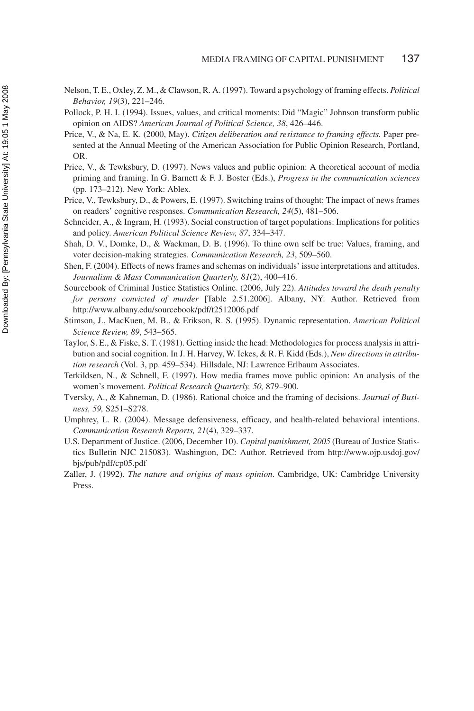- Nelson, T. E., Oxley, Z. M., & Clawson, R. A. (1997). Toward a psychology of framing effects. *Political Behavior, 19*(3), 221–246.
- Pollock, P. H. I. (1994). Issues, values, and critical moments: Did "Magic" Johnson transform public opinion on AIDS? *American Journal of Political Science, 38*, 426–446.
- Price, V., & Na, E. K. (2000, May). *Citizen deliberation and resistance to framing effects.* Paper presented at the Annual Meeting of the American Association for Public Opinion Research, Portland, OR.
- Price, V., & Tewksbury, D. (1997). News values and public opinion: A theoretical account of media priming and framing. In G. Barnett & F. J. Boster (Eds.), *Progress in the communication sciences* (pp. 173–212). New York: Ablex.
- Price, V., Tewksbury, D., & Powers, E. (1997). Switching trains of thought: The impact of news frames on readers' cognitive responses. *Communication Research, 24*(5), 481–506.
- Schneider, A., & Ingram, H. (1993). Social construction of target populations: Implications for politics and policy. *American Political Science Review, 87*, 334–347.
- Shah, D. V., Domke, D., & Wackman, D. B. (1996). To thine own self be true: Values, framing, and voter decision-making strategies. *Communication Research, 23*, 509–560.
- Shen, F. (2004). Effects of news frames and schemas on individuals' issue interpretations and attitudes. *Journalism & Mass Communication Quarterly, 81*(2), 400–416.
- Sourcebook of Criminal Justice Statistics Online. (2006, July 22). *Attitudes toward the death penalty for persons convicted of murder* [Table 2.51.2006]. Albany, NY: Author. Retrieved from http://www.albany.edu/sourcebook/pdf/t2512006.pdf
- Stimson, J., MacKuen, M. B., & Erikson, R. S. (1995). Dynamic representation. *American Political Science Review, 89*, 543–565.
- Taylor, S. E., & Fiske, S. T. (1981). Getting inside the head: Methodologies for process analysis in attribution and social cognition. In J. H. Harvey, W. Ickes, & R. F. Kidd (Eds.), *New directions in attribution research* (Vol. 3, pp. 459–534). Hillsdale, NJ: Lawrence Erlbaum Associates.
- Terkildsen, N., & Schnell, F. (1997). How media frames move public opinion: An analysis of the women's movement. *Political Research Quarterly, 50,* 879–900.
- Tversky, A., & Kahneman, D. (1986). Rational choice and the framing of decisions. *Journal of Business, 59,* S251–S278.
- Umphrey, L. R. (2004). Message defensiveness, efficacy, and health-related behavioral intentions. *Communication Research Reports, 21*(4), 329–337.
- U.S. Department of Justice. (2006, December 10). *Capital punishment, 2005* (Bureau of Justice Statistics Bulletin NJC 215083). Washington, DC: Author. Retrieved from http://www.ojp.usdoj.gov/ bjs/pub/pdf/cp05.pdf
- Zaller, J. (1992). *The nature and origins of mass opinion*. Cambridge, UK: Cambridge University Press.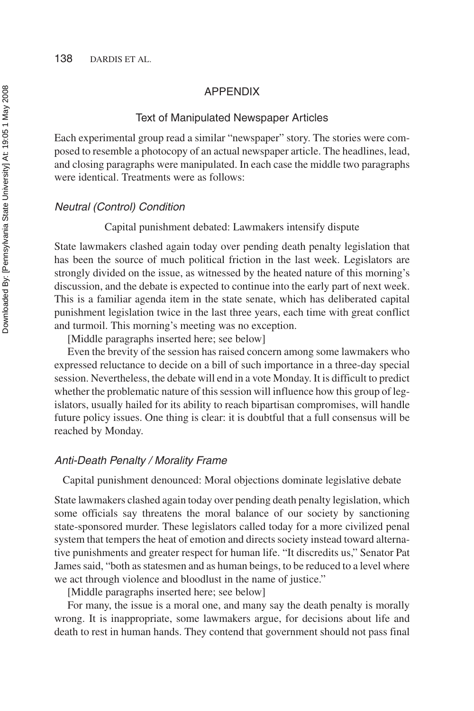#### APPENDIX

#### Text of Manipulated Newspaper Articles

Each experimental group read a similar "newspaper" story. The stories were composed to resemble a photocopy of an actual newspaper article. The headlines, lead, and closing paragraphs were manipulated. In each case the middle two paragraphs were identical. Treatments were as follows:

#### Neutral (Control) Condition

Capital punishment debated: Lawmakers intensify dispute

State lawmakers clashed again today over pending death penalty legislation that has been the source of much political friction in the last week. Legislators are strongly divided on the issue, as witnessed by the heated nature of this morning's discussion, and the debate is expected to continue into the early part of next week. This is a familiar agenda item in the state senate, which has deliberated capital punishment legislation twice in the last three years, each time with great conflict and turmoil. This morning's meeting was no exception.

[Middle paragraphs inserted here; see below]

Even the brevity of the session has raised concern among some lawmakers who expressed reluctance to decide on a bill of such importance in a three-day special session. Nevertheless, the debate will end in a vote Monday. It is difficult to predict whether the problematic nature of this session will influence how this group of legislators, usually hailed for its ability to reach bipartisan compromises, will handle future policy issues. One thing is clear: it is doubtful that a full consensus will be reached by Monday.

### Anti-Death Penalty / Morality Frame

Capital punishment denounced: Moral objections dominate legislative debate

State lawmakers clashed again today over pending death penalty legislation, which some officials say threatens the moral balance of our society by sanctioning state-sponsored murder. These legislators called today for a more civilized penal system that tempers the heat of emotion and directs society instead toward alternative punishments and greater respect for human life. "It discredits us," Senator Pat James said, "both as statesmen and as human beings, to be reduced to a level where we act through violence and bloodlust in the name of justice."

[Middle paragraphs inserted here; see below]

For many, the issue is a moral one, and many say the death penalty is morally wrong. It is inappropriate, some lawmakers argue, for decisions about life and death to rest in human hands. They contend that government should not pass final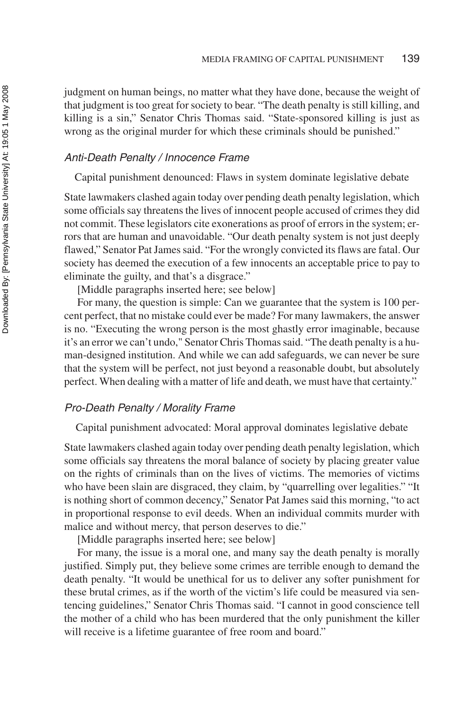judgment on human beings, no matter what they have done, because the weight of that judgment is too great for society to bear. "The death penalty is still killing, and killing is a sin," Senator Chris Thomas said. "State-sponsored killing is just as wrong as the original murder for which these criminals should be punished."

### Anti-Death Penalty / Innocence Frame

Capital punishment denounced: Flaws in system dominate legislative debate

State lawmakers clashed again today over pending death penalty legislation, which some officials say threatens the lives of innocent people accused of crimes they did not commit. These legislators cite exonerations as proof of errors in the system; errors that are human and unavoidable. "Our death penalty system is not just deeply flawed," Senator Pat James said. "For the wrongly convicted its flaws are fatal. Our society has deemed the execution of a few innocents an acceptable price to pay to eliminate the guilty, and that's a disgrace."

[Middle paragraphs inserted here; see below]

For many, the question is simple: Can we guarantee that the system is 100 percent perfect, that no mistake could ever be made? For many lawmakers, the answer is no. "Executing the wrong person is the most ghastly error imaginable, because it's an error we can't undo," Senator Chris Thomas said. "The death penalty is a human-designed institution. And while we can add safeguards, we can never be sure that the system will be perfect, not just beyond a reasonable doubt, but absolutely perfect. When dealing with a matter of life and death, we must have that certainty."

#### Pro-Death Penalty / Morality Frame

Capital punishment advocated: Moral approval dominates legislative debate

State lawmakers clashed again today over pending death penalty legislation, which some officials say threatens the moral balance of society by placing greater value on the rights of criminals than on the lives of victims. The memories of victims who have been slain are disgraced, they claim, by "quarrelling over legalities." "It is nothing short of common decency," Senator Pat James said this morning, "to act in proportional response to evil deeds. When an individual commits murder with malice and without mercy, that person deserves to die."

[Middle paragraphs inserted here; see below]

For many, the issue is a moral one, and many say the death penalty is morally justified. Simply put, they believe some crimes are terrible enough to demand the death penalty. "It would be unethical for us to deliver any softer punishment for these brutal crimes, as if the worth of the victim's life could be measured via sentencing guidelines," Senator Chris Thomas said. "I cannot in good conscience tell the mother of a child who has been murdered that the only punishment the killer will receive is a lifetime guarantee of free room and board."